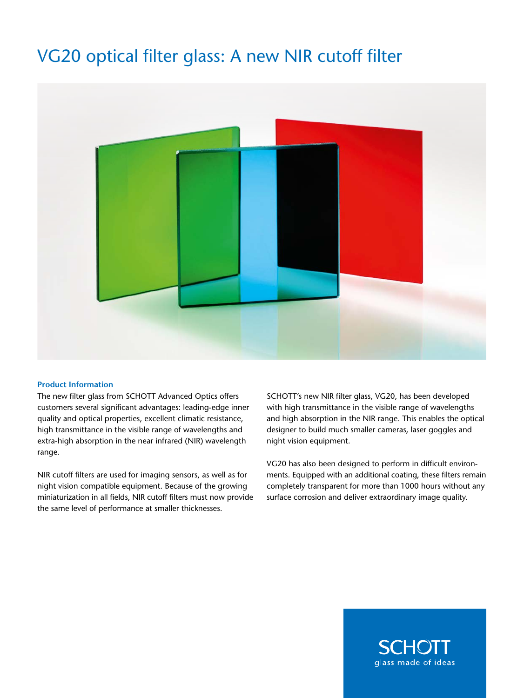# VG20 optical filter glass: A new NIR cutoff filter



#### **Product Information**

The new filter glass from SCHOTT Advanced Optics offers customers several significant advantages: leading-edge inner quality and optical properties, excellent climatic resistance, high transmittance in the visible range of wavelengths and extra-high absorption in the near infrared (NIR) wavelength range.

NIR cutoff filters are used for imaging sensors, as well as for night vision compatible equipment. Because of the growing miniaturization in all fields, NIR cutoff filters must now provide the same level of performance at smaller thicknesses.

SCHOTT's new NIR filter glass, VG20, has been developed with high transmittance in the visible range of wavelengths and high absorption in the NIR range. This enables the optical designer to build much smaller cameras, laser goggles and night vision equipment.

VG20 has also been designed to perform in difficult environments. Equipped with an additional coating, these filters remain completely transparent for more than 1000 hours without any surface corrosion and deliver extraordinary image quality.